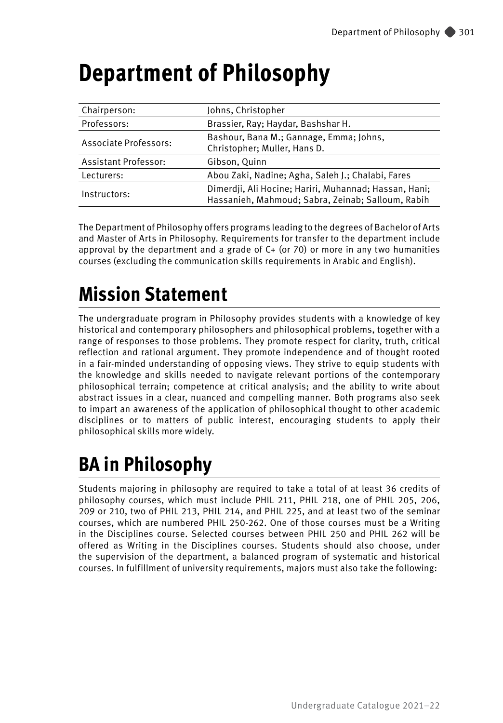# **Department of Philosophy**

| Chairperson:          | Johns, Christopher                                                                                         |  |  |
|-----------------------|------------------------------------------------------------------------------------------------------------|--|--|
| Professors:           | Brassier, Ray; Haydar, Bashshar H.                                                                         |  |  |
| Associate Professors: | Bashour, Bana M.; Gannage, Emma; Johns,<br>Christopher; Muller, Hans D.                                    |  |  |
| Assistant Professor:  | Gibson, Quinn                                                                                              |  |  |
| Lecturers:            | Abou Zaki, Nadine; Agha, Saleh J.; Chalabi, Fares                                                          |  |  |
| Instructors:          | Dimerdji, Ali Hocine; Hariri, Muhannad; Hassan, Hani;<br>Hassanieh, Mahmoud; Sabra, Zeinab; Salloum, Rabih |  |  |

The Department of Philosophy offers programs leading to the degrees of Bachelor of Arts and Master of Arts in Philosophy. Requirements for transfer to the department include approval by the department and a grade of C+ (or 70) or more in any two humanities courses (excluding the communication skills requirements in Arabic and English).

# **Mission Statement**

The undergraduate program in Philosophy provides students with a knowledge of key historical and contemporary philosophers and philosophical problems, together with a range of responses to those problems. They promote respect for clarity, truth, critical reflection and rational argument. They promote independence and of thought rooted in a fair-minded understanding of opposing views. They strive to equip students with the knowledge and skills needed to navigate relevant portions of the contemporary philosophical terrain; competence at critical analysis; and the ability to write about abstract issues in a clear, nuanced and compelling manner. Both programs also seek to impart an awareness of the application of philosophical thought to other academic disciplines or to matters of public interest, encouraging students to apply their philosophical skills more widely.

# **BA in Philosophy**

Students majoring in philosophy are required to take a total of at least 36 credits of philosophy courses, which must include PHIL 211, PHIL 218, one of PHIL 205, 206, 209 or 210, two of PHIL 213, PHIL 214, and PHIL 225, and at least two of the seminar courses, which are numbered PHIL 250-262. One of those courses must be a Writing in the Disciplines course. Selected courses between PHIL 250 and PHIL 262 will be offered as Writing in the Disciplines courses. Students should also choose, under the supervision of the department, a balanced program of systematic and historical courses. In fulfillment of university requirements, majors must also take the following: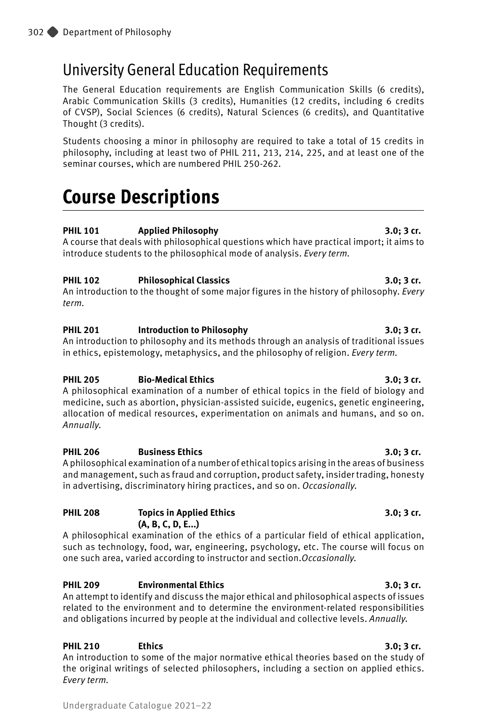# University General Education Requirements

The General Education requirements are English Communication Skills (6 credits), Arabic Communication Skills (3 credits), Humanities (12 credits, including 6 credits of CVSP), Social Sciences (6 credits), Natural Sciences (6 credits), and Quantitative Thought (3 credits).

Students choosing a minor in philosophy are required to take a total of 15 credits in philosophy, including at least two of PHIL 211, 213, 214, 225, and at least one of the seminar courses, which are numbered PHIL 250-262.

# **Course Descriptions**

### **PHIL 101 Applied Philosophy 3.0; 3 cr.**

A course that deals with philosophical questions which have practical import; it aims to introduce students to the philosophical mode of analysis. *Every term.*

### **PHIL 102 Philosophical Classics 3.0; 3 cr.**

An introduction to the thought of some major figures in the history of philosophy. *Every term.*

### **PHIL 201 Introduction to Philosophy 3.0; 3 cr.**

An introduction to philosophy and its methods through an analysis of traditional issues in ethics, epistemology, metaphysics, and the philosophy of religion. *Every term.*

### **PHIL 205 Bio-Medical Ethics 3.0; 3 cr.**

A philosophical examination of a number of ethical topics in the field of biology and medicine, such as abortion, physician-assisted suicide, eugenics, genetic engineering, allocation of medical resources, experimentation on animals and humans, and so on. *Annually.*

### **PHIL 206 Business Ethics 3.0; 3 cr.**

A philosophical examination of a number of ethical topics arising in the areas of business and management, such as fraud and corruption, product safety, insider trading, honesty in advertising, discriminatory hiring practices, and so on. *Occasionally.*

# **PHIL 208 Topics in Applied Ethics 3.0; 3 cr.**

**(A, B, C, D, E...)**

A philosophical examination of the ethics of a particular field of ethical application, such as technology, food, war, engineering, psychology, etc. The course will focus on one such area, varied according to instructor and section.*Occasionally.*

### **PHIL 209 Environmental Ethics 3.0; 3 cr.**

An attempt to identify and discuss the major ethical and philosophical aspects of issues related to the environment and to determine the environment-related responsibilities and obligations incurred by people at the individual and collective levels. *Annually.*

### **PHIL 210 Ethics 3.0; 3 cr.**

An introduction to some of the major normative ethical theories based on the study of the original writings of selected philosophers, including a section on applied ethics. *Every term.*

# Undergraduate Catalogue 2021–22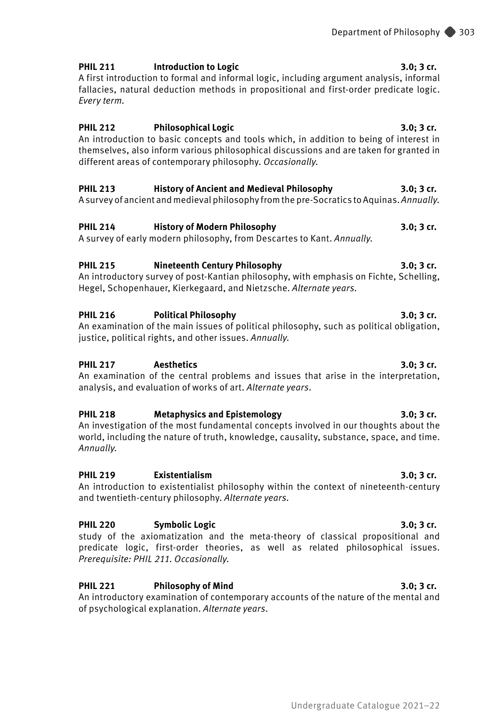# A first introduction to formal and informal logic, including argument analysis, informal fallacies, natural deduction methods in propositional and first-order predicate logic. *Every term.* **PHIL 212 Philosophical Logic 3.0; 3 cr.**

An introduction to basic concepts and tools which, in addition to being of interest in themselves, also inform various philosophical discussions and are taken for granted in different areas of contemporary philosophy. *Occasionally.*

## **PHIL 213 History of Ancient and Medieval Philosophy 3.0; 3 cr.**

A survey of ancient and medieval philosophy from the pre-Socratics to Aquinas. *Annually.*

# **PHIL 214 History of Modern Philosophy 3.0; 3 cr.**

A survey of early modern philosophy, from Descartes to Kant. *Annually.*

# **PHIL 215 Nineteenth Century Philosophy 3.0; 3 cr.**

An introductory survey of post-Kantian philosophy, with emphasis on Fichte, Schelling, Hegel, Schopenhauer, Kierkegaard, and Nietzsche. *Alternate years.*

## **PHIL 216 Political Philosophy 3.0; 3 cr.**

An examination of the main issues of political philosophy, such as political obligation, justice, political rights, and other issues. *Annually.*

# **PHIL 217 Aesthetics 3.0; 3 cr.**

An examination of the central problems and issues that arise in the interpretation, analysis, and evaluation of works of art. *Alternate years.*

# **PHIL 218 Metaphysics and Epistemology 3.0; 3 cr.**

An investigation of the most fundamental concepts involved in our thoughts about the world, including the nature of truth, knowledge, causality, substance, space, and time. *Annually.*

# **PHIL 219 Existentialism 3.0; 3 cr.**

An introduction to existentialist philosophy within the context of nineteenth-century and twentieth-century philosophy. *Alternate years.*

# PHIL 220 Symbolic Logic 3.0; 3 cr.

study of the axiomatization and the meta-theory of classical propositional and predicate logic, first-order theories, as well as related philosophical issues. *Prerequisite: PHIL 211. Occasionally.*

# **PHIL 221 Philosophy of Mind 3.0; 3 cr.**

An introductory examination of contemporary accounts of the nature of the mental and of psychological explanation. *Alternate years*.

### **PHIL 211** Introduction to Logic 3.0; 3 cr.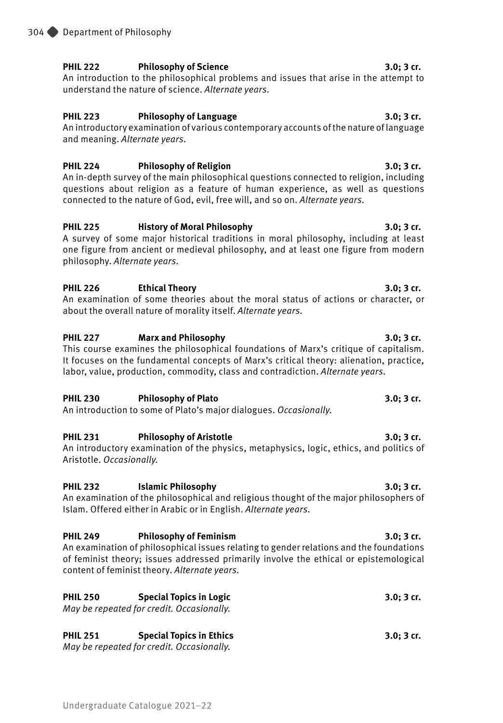### **PHIL 222 Philosophy of Science 3.0; 3 cr.**

An introduction to the philosophical problems and issues that arise in the attempt to understand the nature of science. *Alternate years.*

### **PHIL 223 Philosophy of Language 3.0; 3 cr.**

An introductory examination of various contemporary accounts of the nature of language and meaning. *Alternate years.*

### **PHIL 224 Philosophy of Religion 3.0; 3 cr.**

An in-depth survey of the main philosophical questions connected to religion, including questions about religion as a feature of human experience, as well as questions connected to the nature of God, evil, free will, and so on. *Alternate years.*

### **PHIL 225 History of Moral Philosophy 3.0; 3 cr.**

A survey of some major historical traditions in moral philosophy, including at least one figure from ancient or medieval philosophy, and at least one figure from modern philosophy. *Alternate years.* 

### **PHIL 226 Ethical Theory 3.0; 3 cr.**

An examination of some theories about the moral status of actions or character, or about the overall nature of morality itself. *Alternate years.*

### **PHIL 227 Marx and Philosophy 3.0; 3 cr.**

This course examines the philosophical foundations of Marx's critique of capitalism. It focuses on the fundamental concepts of Marx's critical theory: alienation, practice, labor, value, production, commodity, class and contradiction. *Alternate years.*

### **PHIL 230 Philosophy of Plato 3.0; 3 cr.**

An introduction to some of Plato's major dialogues. *Occasionally.*

### PHIL 231 Philosophy of Aristotle 3.0; 3 cr.

An introductory examination of the physics, metaphysics, logic, ethics, and politics of Aristotle. *Occasionally.*

### **PHIL 232 Islamic Philosophy 3.0; 3 cr.**

An examination of the philosophical and religious thought of the major philosophers of Islam. Offered either in Arabic or in English. *Alternate years.*

### **PHIL 249 Philosophy of Feminism 3.0; 3 cr.**

An examination of philosophical issues relating to gender relations and the foundations of feminist theory; issues addressed primarily involve the ethical or epistemological content of feminist theory. *Alternate years.*

| <b>PHIL 250</b> | Special Topics in Logic                   | $3.0; 3$ cr. |
|-----------------|-------------------------------------------|--------------|
|                 | May be repeated for credit. Occasionally. |              |
|                 |                                           |              |

### **PHIL 251 Special Topics in Ethics 3.0; 3 cr.**

*May be repeated for credit. Occasionally.*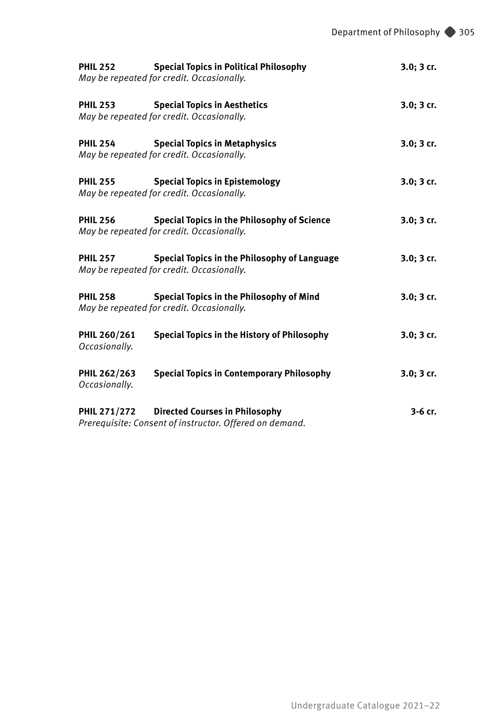| <b>PHIL 252</b>               | <b>Special Topics in Political Philosophy</b><br>May be repeated for credit. Occasionally.       | $3.0; 3$ cr. |
|-------------------------------|--------------------------------------------------------------------------------------------------|--------------|
| <b>PHIL 253</b>               | <b>Special Topics in Aesthetics</b><br>May be repeated for credit. Occasionally.                 | 3.0; 3 cr.   |
| <b>PHIL 254</b>               | <b>Special Topics in Metaphysics</b><br>May be repeated for credit. Occasionally.                | $3.0; 3$ cr. |
| <b>PHIL 255</b>               | <b>Special Topics in Epistemology</b><br>May be repeated for credit. Occasionally.               | $3.0; 3$ cr. |
| <b>PHIL 256</b>               | Special Topics in the Philosophy of Science<br>May be repeated for credit. Occasionally.         | $3.0; 3$ cr. |
| <b>PHIL 257</b>               | Special Topics in the Philosophy of Language<br>May be repeated for credit. Occasionally.        | $3.0; 3$ cr. |
| <b>PHIL 258</b>               | Special Topics in the Philosophy of Mind<br>May be repeated for credit. Occasionally.            | $3.0; 3$ cr. |
| PHIL 260/261<br>Occasionally. | Special Topics in the History of Philosophy                                                      | $3.0; 3$ cr. |
| PHIL 262/263<br>Occasionally. | <b>Special Topics in Contemporary Philosophy</b>                                                 | $3.0; 3$ cr. |
| <b>PHIL 271/272</b>           | <b>Directed Courses in Philosophy</b><br>Prerequisite: Consent of instructor. Offered on demand. | 3-6 cr.      |